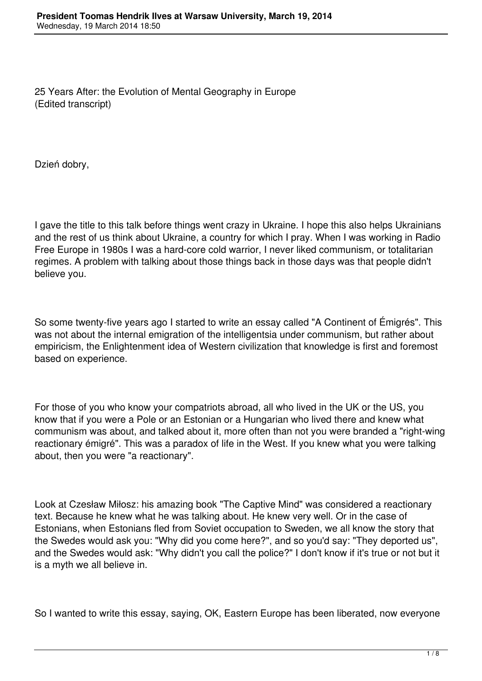25 Years After: the Evolution of Mental Geography in Europe (Edited transcript)

Dzień dobry,

I gave the title to this talk before things went crazy in Ukraine. I hope this also helps Ukrainians and the rest of us think about Ukraine, a country for which I pray. When I was working in Radio Free Europe in 1980s I was a hard-core cold warrior, I never liked communism, or totalitarian regimes. A problem with talking about those things back in those days was that people didn't believe you.

So some twenty-five years ago I started to write an essay called "A Continent of Émigrés". This was not about the internal emigration of the intelligentsia under communism, but rather about empiricism, the Enlightenment idea of Western civilization that knowledge is first and foremost based on experience.

For those of you who know your compatriots abroad, all who lived in the UK or the US, you know that if you were a Pole or an Estonian or a Hungarian who lived there and knew what communism was about, and talked about it, more often than not you were branded a "right-wing reactionary émigré". This was a paradox of life in the West. If you knew what you were talking about, then you were "a reactionary".

Look at Czesław Miłosz: his amazing book "The Captive Mind" was considered a reactionary text. Because he knew what he was talking about. He knew very well. Or in the case of Estonians, when Estonians fled from Soviet occupation to Sweden, we all know the story that the Swedes would ask you: "Why did you come here?", and so you'd say: "They deported us", and the Swedes would ask: "Why didn't you call the police?" I don't know if it's true or not but it is a myth we all believe in.

So I wanted to write this essay, saying, OK, Eastern Europe has been liberated, now everyone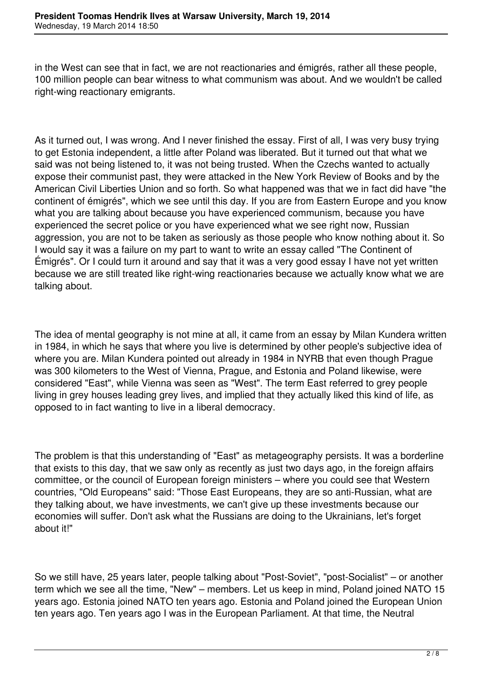in the West can see that in fact, we are not reactionaries and émigrés, rather all these people, 100 million people can bear witness to what communism was about. And we wouldn't be called right-wing reactionary emigrants.

As it turned out, I was wrong. And I never finished the essay. First of all, I was very busy trying to get Estonia independent, a little after Poland was liberated. But it turned out that what we said was not being listened to, it was not being trusted. When the Czechs wanted to actually expose their communist past, they were attacked in the New York Review of Books and by the American Civil Liberties Union and so forth. So what happened was that we in fact did have "the continent of émigrés", which we see until this day. If you are from Eastern Europe and you know what you are talking about because you have experienced communism, because you have experienced the secret police or you have experienced what we see right now, Russian aggression, you are not to be taken as seriously as those people who know nothing about it. So I would say it was a failure on my part to want to write an essay called "The Continent of Émigrés". Or I could turn it around and say that it was a very good essay I have not yet written because we are still treated like right-wing reactionaries because we actually know what we are talking about.

The idea of mental geography is not mine at all, it came from an essay by Milan Kundera written in 1984, in which he says that where you live is determined by other people's subjective idea of where you are. Milan Kundera pointed out already in 1984 in NYRB that even though Prague was 300 kilometers to the West of Vienna, Prague, and Estonia and Poland likewise, were considered "East", while Vienna was seen as "West". The term East referred to grey people living in grey houses leading grey lives, and implied that they actually liked this kind of life, as opposed to in fact wanting to live in a liberal democracy.

The problem is that this understanding of "East" as metageography persists. It was a borderline that exists to this day, that we saw only as recently as just two days ago, in the foreign affairs committee, or the council of European foreign ministers – where you could see that Western countries, "Old Europeans" said: "Those East Europeans, they are so anti-Russian, what are they talking about, we have investments, we can't give up these investments because our economies will suffer. Don't ask what the Russians are doing to the Ukrainians, let's forget about it!"

So we still have, 25 years later, people talking about "Post-Soviet", "post-Socialist" – or another term which we see all the time, "New" – members. Let us keep in mind, Poland joined NATO 15 years ago. Estonia joined NATO ten years ago. Estonia and Poland joined the European Union ten years ago. Ten years ago I was in the European Parliament. At that time, the Neutral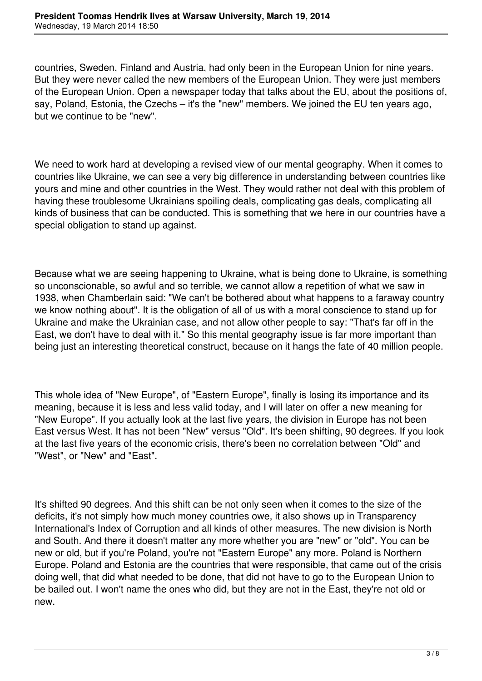countries, Sweden, Finland and Austria, had only been in the European Union for nine years. But they were never called the new members of the European Union. They were just members of the European Union. Open a newspaper today that talks about the EU, about the positions of, say, Poland, Estonia, the Czechs – it's the "new" members. We joined the EU ten years ago, but we continue to be "new".

We need to work hard at developing a revised view of our mental geography. When it comes to countries like Ukraine, we can see a very big difference in understanding between countries like yours and mine and other countries in the West. They would rather not deal with this problem of having these troublesome Ukrainians spoiling deals, complicating gas deals, complicating all kinds of business that can be conducted. This is something that we here in our countries have a special obligation to stand up against.

Because what we are seeing happening to Ukraine, what is being done to Ukraine, is something so unconscionable, so awful and so terrible, we cannot allow a repetition of what we saw in 1938, when Chamberlain said: "We can't be bothered about what happens to a faraway country we know nothing about". It is the obligation of all of us with a moral conscience to stand up for Ukraine and make the Ukrainian case, and not allow other people to say: "That's far off in the East, we don't have to deal with it." So this mental geography issue is far more important than being just an interesting theoretical construct, because on it hangs the fate of 40 million people.

This whole idea of "New Europe", of "Eastern Europe", finally is losing its importance and its meaning, because it is less and less valid today, and I will later on offer a new meaning for "New Europe". If you actually look at the last five years, the division in Europe has not been East versus West. It has not been "New" versus "Old". It's been shifting, 90 degrees. If you look at the last five years of the economic crisis, there's been no correlation between "Old" and "West", or "New" and "East".

It's shifted 90 degrees. And this shift can be not only seen when it comes to the size of the deficits, it's not simply how much money countries owe, it also shows up in Transparency International's Index of Corruption and all kinds of other measures. The new division is North and South. And there it doesn't matter any more whether you are "new" or "old". You can be new or old, but if you're Poland, you're not "Eastern Europe" any more. Poland is Northern Europe. Poland and Estonia are the countries that were responsible, that came out of the crisis doing well, that did what needed to be done, that did not have to go to the European Union to be bailed out. I won't name the ones who did, but they are not in the East, they're not old or new.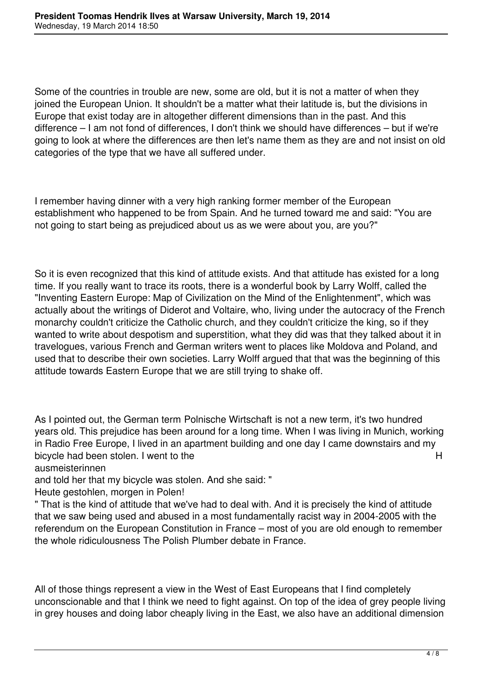Some of the countries in trouble are new, some are old, but it is not a matter of when they joined the European Union. It shouldn't be a matter what their latitude is, but the divisions in Europe that exist today are in altogether different dimensions than in the past. And this difference – I am not fond of differences, I don't think we should have differences – but if we're going to look at where the differences are then let's name them as they are and not insist on old categories of the type that we have all suffered under.

I remember having dinner with a very high ranking former member of the European establishment who happened to be from Spain. And he turned toward me and said: "You are not going to start being as prejudiced about us as we were about you, are you?"

So it is even recognized that this kind of attitude exists. And that attitude has existed for a long time. If you really want to trace its roots, there is a wonderful book by Larry Wolff, called the "Inventing Eastern Europe: Map of Civilization on the Mind of the Enlightenment", which was actually about the writings of Diderot and Voltaire, who, living under the autocracy of the French monarchy couldn't criticize the Catholic church, and they couldn't criticize the king, so if they wanted to write about despotism and superstition, what they did was that they talked about it in travelogues, various French and German writers went to places like Moldova and Poland, and used that to describe their own societies. Larry Wolff argued that that was the beginning of this attitude towards Eastern Europe that we are still trying to shake off.

As I pointed out, the German term Polnische Wirtschaft is not a new term, it's two hundred years old. This prejudice has been around for a long time. When I was living in Munich, working in Radio Free Europe, I lived in an apartment building and one day I came downstairs and my bicycle had been stolen. I went to the H

ausmeisterinnen

and told her that my bicycle was stolen. And she said: "

Heute gestohlen, morgen in Polen!

" That is the kind of attitude that we've had to deal with. And it is precisely the kind of attitude that we saw being used and abused in a most fundamentally racist way in 2004-2005 with the referendum on the European Constitution in France – most of you are old enough to remember the whole ridiculousness The Polish Plumber debate in France.

All of those things represent a view in the West of East Europeans that I find completely unconscionable and that I think we need to fight against. On top of the idea of grey people living in grey houses and doing labor cheaply living in the East, we also have an additional dimension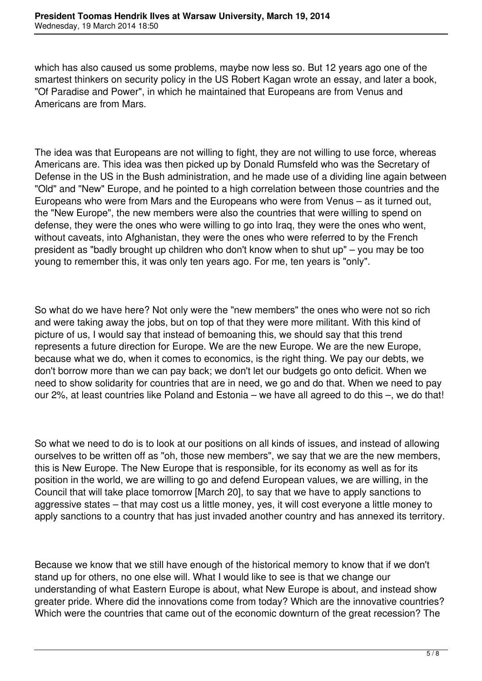which has also caused us some problems, maybe now less so. But 12 years ago one of the smartest thinkers on security policy in the US Robert Kagan wrote an essay, and later a book, "Of Paradise and Power", in which he maintained that Europeans are from Venus and Americans are from Mars.

The idea was that Europeans are not willing to fight, they are not willing to use force, whereas Americans are. This idea was then picked up by Donald Rumsfeld who was the Secretary of Defense in the US in the Bush administration, and he made use of a dividing line again between "Old" and "New" Europe, and he pointed to a high correlation between those countries and the Europeans who were from Mars and the Europeans who were from Venus – as it turned out, the "New Europe", the new members were also the countries that were willing to spend on defense, they were the ones who were willing to go into Iraq, they were the ones who went, without caveats, into Afghanistan, they were the ones who were referred to by the French president as "badly brought up children who don't know when to shut up" – you may be too young to remember this, it was only ten years ago. For me, ten years is "only".

So what do we have here? Not only were the "new members" the ones who were not so rich and were taking away the jobs, but on top of that they were more militant. With this kind of picture of us, I would say that instead of bemoaning this, we should say that this trend represents a future direction for Europe. We are the new Europe. We are the new Europe, because what we do, when it comes to economics, is the right thing. We pay our debts, we don't borrow more than we can pay back; we don't let our budgets go onto deficit. When we need to show solidarity for countries that are in need, we go and do that. When we need to pay our 2%, at least countries like Poland and Estonia – we have all agreed to do this –, we do that!

So what we need to do is to look at our positions on all kinds of issues, and instead of allowing ourselves to be written off as "oh, those new members", we say that we are the new members, this is New Europe. The New Europe that is responsible, for its economy as well as for its position in the world, we are willing to go and defend European values, we are willing, in the Council that will take place tomorrow [March 20], to say that we have to apply sanctions to aggressive states – that may cost us a little money, yes, it will cost everyone a little money to apply sanctions to a country that has just invaded another country and has annexed its territory.

Because we know that we still have enough of the historical memory to know that if we don't stand up for others, no one else will. What I would like to see is that we change our understanding of what Eastern Europe is about, what New Europe is about, and instead show greater pride. Where did the innovations come from today? Which are the innovative countries? Which were the countries that came out of the economic downturn of the great recession? The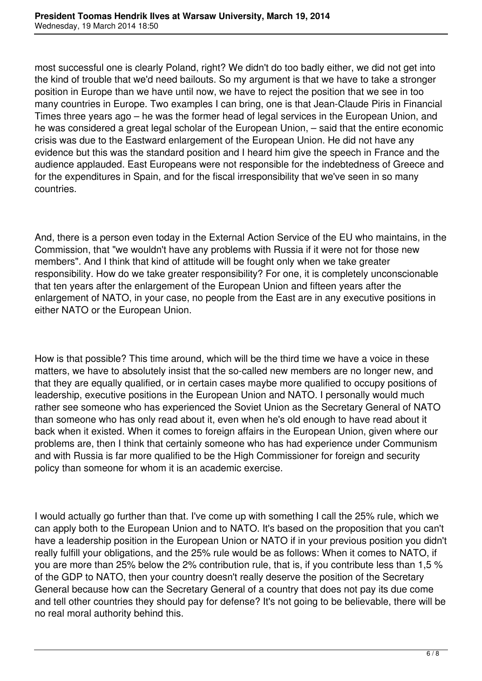most successful one is clearly Poland, right? We didn't do too badly either, we did not get into the kind of trouble that we'd need bailouts. So my argument is that we have to take a stronger position in Europe than we have until now, we have to reject the position that we see in too many countries in Europe. Two examples I can bring, one is that Jean-Claude Piris in Financial Times three years ago – he was the former head of legal services in the European Union, and he was considered a great legal scholar of the European Union, – said that the entire economic crisis was due to the Eastward enlargement of the European Union. He did not have any evidence but this was the standard position and I heard him give the speech in France and the audience applauded. East Europeans were not responsible for the indebtedness of Greece and for the expenditures in Spain, and for the fiscal irresponsibility that we've seen in so many countries.

And, there is a person even today in the External Action Service of the EU who maintains, in the Commission, that "we wouldn't have any problems with Russia if it were not for those new members". And I think that kind of attitude will be fought only when we take greater responsibility. How do we take greater responsibility? For one, it is completely unconscionable that ten years after the enlargement of the European Union and fifteen years after the enlargement of NATO, in your case, no people from the East are in any executive positions in either NATO or the European Union.

How is that possible? This time around, which will be the third time we have a voice in these matters, we have to absolutely insist that the so-called new members are no longer new, and that they are equally qualified, or in certain cases maybe more qualified to occupy positions of leadership, executive positions in the European Union and NATO. I personally would much rather see someone who has experienced the Soviet Union as the Secretary General of NATO than someone who has only read about it, even when he's old enough to have read about it back when it existed. When it comes to foreign affairs in the European Union, given where our problems are, then I think that certainly someone who has had experience under Communism and with Russia is far more qualified to be the High Commissioner for foreign and security policy than someone for whom it is an academic exercise.

I would actually go further than that. I've come up with something I call the 25% rule, which we can apply both to the European Union and to NATO. It's based on the proposition that you can't have a leadership position in the European Union or NATO if in your previous position you didn't really fulfill your obligations, and the 25% rule would be as follows: When it comes to NATO, if you are more than 25% below the 2% contribution rule, that is, if you contribute less than 1,5 % of the GDP to NATO, then your country doesn't really deserve the position of the Secretary General because how can the Secretary General of a country that does not pay its due come and tell other countries they should pay for defense? It's not going to be believable, there will be no real moral authority behind this.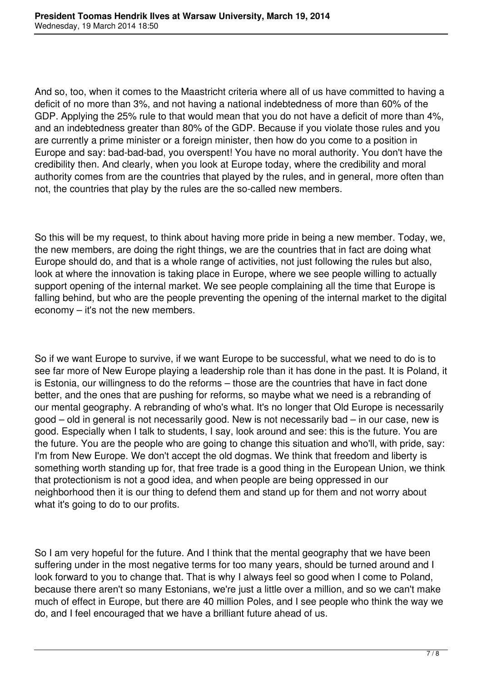And so, too, when it comes to the Maastricht criteria where all of us have committed to having a deficit of no more than 3%, and not having a national indebtedness of more than 60% of the GDP. Applying the 25% rule to that would mean that you do not have a deficit of more than 4%, and an indebtedness greater than 80% of the GDP. Because if you violate those rules and you are currently a prime minister or a foreign minister, then how do you come to a position in Europe and say: bad-bad-bad, you overspent! You have no moral authority. You don't have the credibility then. And clearly, when you look at Europe today, where the credibility and moral authority comes from are the countries that played by the rules, and in general, more often than not, the countries that play by the rules are the so-called new members.

So this will be my request, to think about having more pride in being a new member. Today, we, the new members, are doing the right things, we are the countries that in fact are doing what Europe should do, and that is a whole range of activities, not just following the rules but also, look at where the innovation is taking place in Europe, where we see people willing to actually support opening of the internal market. We see people complaining all the time that Europe is falling behind, but who are the people preventing the opening of the internal market to the digital economy – it's not the new members.

So if we want Europe to survive, if we want Europe to be successful, what we need to do is to see far more of New Europe playing a leadership role than it has done in the past. It is Poland, it is Estonia, our willingness to do the reforms – those are the countries that have in fact done better, and the ones that are pushing for reforms, so maybe what we need is a rebranding of our mental geography. A rebranding of who's what. It's no longer that Old Europe is necessarily good – old in general is not necessarily good. New is not necessarily bad – in our case, new is good. Especially when I talk to students, I say, look around and see: this is the future. You are the future. You are the people who are going to change this situation and who'll, with pride, say: I'm from New Europe. We don't accept the old dogmas. We think that freedom and liberty is something worth standing up for, that free trade is a good thing in the European Union, we think that protectionism is not a good idea, and when people are being oppressed in our neighborhood then it is our thing to defend them and stand up for them and not worry about what it's going to do to our profits.

So I am very hopeful for the future. And I think that the mental geography that we have been suffering under in the most negative terms for too many years, should be turned around and I look forward to you to change that. That is why I always feel so good when I come to Poland, because there aren't so many Estonians, we're just a little over a million, and so we can't make much of effect in Europe, but there are 40 million Poles, and I see people who think the way we do, and I feel encouraged that we have a brilliant future ahead of us.